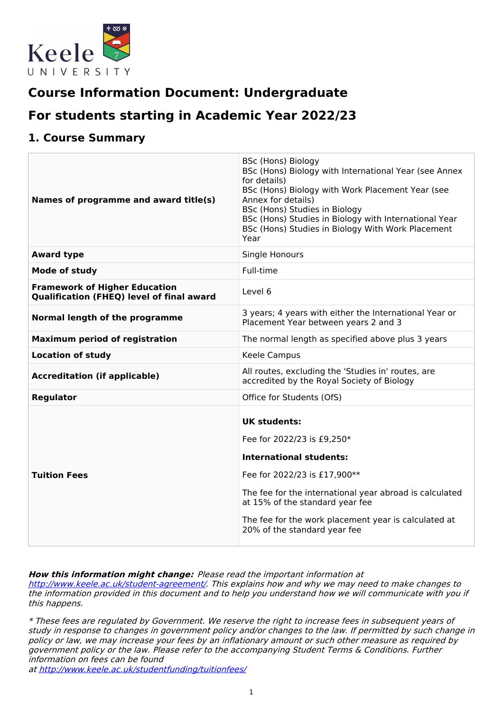

# **Course Information Document: Undergraduate**

# **For students starting in Academic Year 2022/23**

# **1. Course Summary**

| Names of programme and award title(s)                                             | <b>BSc (Hons) Biology</b><br>BSc (Hons) Biology with International Year (see Annex<br>for details)<br>BSc (Hons) Biology with Work Placement Year (see<br>Annex for details)<br>BSc (Hons) Studies in Biology<br>BSc (Hons) Studies in Biology with International Year<br>BSc (Hons) Studies in Biology With Work Placement<br>Year |
|-----------------------------------------------------------------------------------|-------------------------------------------------------------------------------------------------------------------------------------------------------------------------------------------------------------------------------------------------------------------------------------------------------------------------------------|
| <b>Award type</b>                                                                 | Single Honours                                                                                                                                                                                                                                                                                                                      |
| Mode of study                                                                     | Full-time                                                                                                                                                                                                                                                                                                                           |
| <b>Framework of Higher Education</b><br>Qualification (FHEQ) level of final award | Level 6                                                                                                                                                                                                                                                                                                                             |
| Normal length of the programme                                                    | 3 years; 4 years with either the International Year or<br>Placement Year between years 2 and 3                                                                                                                                                                                                                                      |
| <b>Maximum period of registration</b>                                             | The normal length as specified above plus 3 years                                                                                                                                                                                                                                                                                   |
| <b>Location of study</b>                                                          | Keele Campus                                                                                                                                                                                                                                                                                                                        |
| <b>Accreditation (if applicable)</b>                                              | All routes, excluding the 'Studies in' routes, are<br>accredited by the Royal Society of Biology                                                                                                                                                                                                                                    |
| <b>Regulator</b>                                                                  | Office for Students (OfS)                                                                                                                                                                                                                                                                                                           |
| <b>Tuition Fees</b>                                                               | <b>UK students:</b><br>Fee for 2022/23 is £9,250*<br><b>International students:</b><br>Fee for 2022/23 is £17,900**<br>The fee for the international year abroad is calculated<br>at 15% of the standard year fee<br>The fee for the work placement year is calculated at<br>20% of the standard year fee                           |

### **How this information might change:** Please read the important information at

<http://www.keele.ac.uk/student-agreement/>. This explains how and why we may need to make changes to the information provided in this document and to help you understand how we will communicate with you if this happens.

\* These fees are regulated by Government. We reserve the right to increase fees in subsequent years of study in response to changes in government policy and/or changes to the law. If permitted by such change in policy or law, we may increase your fees by an inflationary amount or such other measure as required by government policy or the law. Please refer to the accompanying Student Terms & Conditions. Further information on fees can be found

at <http://www.keele.ac.uk/studentfunding/tuitionfees/>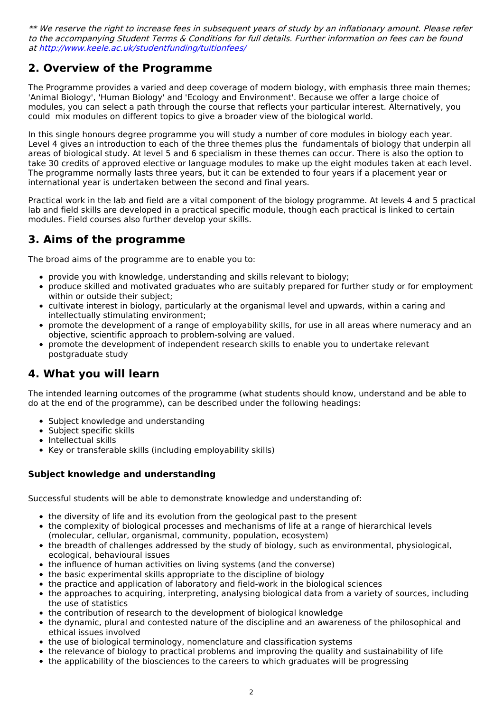\*\* We reserve the right to increase fees in subsequent years of study by an inflationary amount. Please refer to the accompanying Student Terms & Conditions for full details. Further information on fees can be found at <http://www.keele.ac.uk/studentfunding/tuitionfees/>

# **2. Overview of the Programme**

The Programme provides a varied and deep coverage of modern biology, with emphasis three main themes; 'Animal Biology', 'Human Biology' and 'Ecology and Environment'. Because we offer a large choice of modules, you can select a path through the course that reflects your particular interest. Alternatively, you could mix modules on different topics to give a broader view of the biological world.

In this single honours degree programme you will study a number of core modules in biology each year. Level 4 gives an introduction to each of the three themes plus the fundamentals of biology that underpin all areas of biological study. At level 5 and 6 specialism in these themes can occur. There is also the option to take 30 credits of approved elective or language modules to make up the eight modules taken at each level. The programme normally lasts three years, but it can be extended to four years if a placement year or international year is undertaken between the second and final years.

Practical work in the lab and field are a vital component of the biology programme. At levels 4 and 5 practical lab and field skills are developed in a practical specific module, though each practical is linked to certain modules. Field courses also further develop your skills.

## **3. Aims of the programme**

The broad aims of the programme are to enable you to:

- provide you with knowledge, understanding and skills relevant to biology;
- produce skilled and motivated graduates who are suitably prepared for further study or for employment within or outside their subject;
- cultivate interest in biology, particularly at the organismal level and upwards, within a caring and intellectually stimulating environment;
- promote the development of a range of employability skills, for use in all areas where numeracy and an objective, scientific approach to problem-solving are valued.
- promote the development of independent research skills to enable you to undertake relevant postgraduate study

# **4. What you will learn**

The intended learning outcomes of the programme (what students should know, understand and be able to do at the end of the programme), can be described under the following headings:

- Subject knowledge and understanding
- Subject specific skills
- Intellectual skills
- Key or transferable skills (including employability skills)

### **Subject knowledge and understanding**

Successful students will be able to demonstrate knowledge and understanding of:

- the diversity of life and its evolution from the geological past to the present
- the complexity of biological processes and mechanisms of life at a range of hierarchical levels (molecular, cellular, organismal, community, population, ecosystem)
- the breadth of challenges addressed by the study of biology, such as environmental, physiological, ecological, behavioural issues
- the influence of human activities on living systems (and the converse)
- the basic experimental skills appropriate to the discipline of biology
- the practice and application of laboratory and field-work in the biological sciences
- the approaches to acquiring, interpreting, analysing biological data from a variety of sources, including the use of statistics
- the contribution of research to the development of biological knowledge
- the dynamic, plural and contested nature of the discipline and an awareness of the philosophical and ethical issues involved
- the use of biological terminology, nomenclature and classification systems
- the relevance of biology to practical problems and improving the quality and sustainability of life
- the applicability of the biosciences to the careers to which graduates will be progressing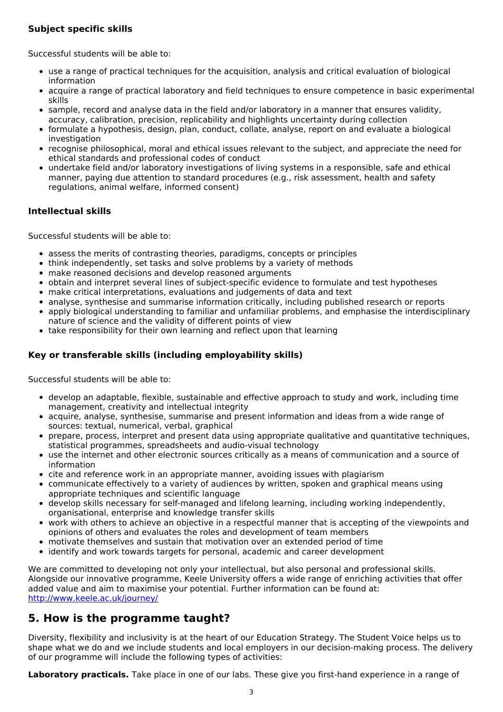### **Subject specific skills**

Successful students will be able to:

- use a range of practical techniques for the acquisition, analysis and critical evaluation of biological information
- acquire a range of practical laboratory and field techniques to ensure competence in basic experimental skills
- sample, record and analyse data in the field and/or laboratory in a manner that ensures validity, accuracy, calibration, precision, replicability and highlights uncertainty during collection
- formulate a hypothesis, design, plan, conduct, collate, analyse, report on and evaluate a biological investigation
- recognise philosophical, moral and ethical issues relevant to the subject, and appreciate the need for ethical standards and professional codes of conduct
- undertake field and/or laboratory investigations of living systems in a responsible, safe and ethical manner, paying due attention to standard procedures (e.g., risk assessment, health and safety regulations, animal welfare, informed consent)

### **Intellectual skills**

Successful students will be able to:

- assess the merits of contrasting theories, paradigms, concepts or principles
- think independently, set tasks and solve problems by a variety of methods
- make reasoned decisions and develop reasoned arguments
- obtain and interpret several lines of subject-specific evidence to formulate and test hypotheses
- make critical interpretations, evaluations and judgements of data and text
- analyse, synthesise and summarise information critically, including published research or reports
- apply biological understanding to familiar and unfamiliar problems, and emphasise the interdisciplinary nature of science and the validity of different points of view
- take responsibility for their own learning and reflect upon that learning

### **Key or transferable skills (including employability skills)**

Successful students will be able to:

- develop an adaptable, flexible, sustainable and effective approach to study and work, including time management, creativity and intellectual integrity
- acquire, analyse, synthesise, summarise and present information and ideas from a wide range of sources: textual, numerical, verbal, graphical
- prepare, process, interpret and present data using appropriate qualitative and quantitative techniques,  $\bullet$ statistical programmes, spreadsheets and audio-visual technology
- use the internet and other electronic sources critically as a means of communication and a source of information
- cite and reference work in an appropriate manner, avoiding issues with plagiarism
- communicate effectively to a variety of audiences by written, spoken and graphical means using appropriate techniques and scientific language
- develop skills necessary for self-managed and lifelong learning, including working independently, organisational, enterprise and knowledge transfer skills
- work with others to achieve an objective in a respectful manner that is accepting of the viewpoints and opinions of others and evaluates the roles and development of team members
- motivate themselves and sustain that motivation over an extended period of time
- identify and work towards targets for personal, academic and career development

We are committed to developing not only your intellectual, but also personal and professional skills. Alongside our innovative programme, Keele University offers a wide range of enriching activities that offer added value and aim to maximise your potential. Further information can be found at: <http://www.keele.ac.uk/journey/>

# **5. How is the programme taught?**

Diversity, flexibility and inclusivity is at the heart of our Education Strategy. The Student Voice helps us to shape what we do and we include students and local employers in our decision-making process. The delivery of our programme will include the following types of activities:

**Laboratory practicals.** Take place in one of our labs. These give you first-hand experience in a range of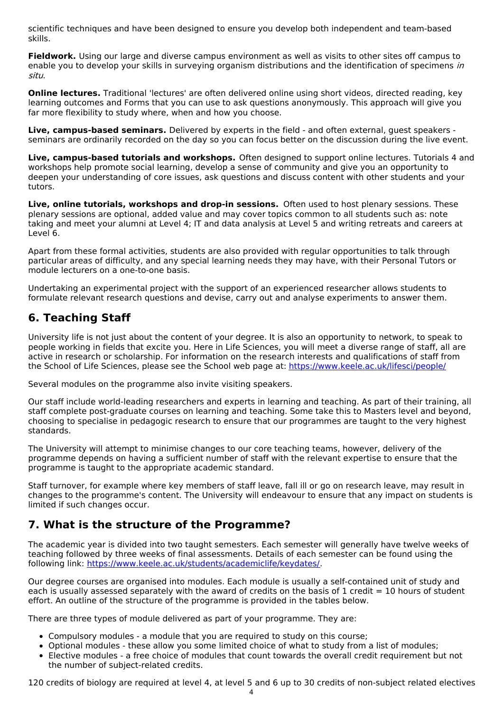scientific techniques and have been designed to ensure you develop both independent and team-based skills.

**Fieldwork.** Using our large and diverse campus environment as well as visits to other sites off campus to enable you to develop your skills in surveying organism distributions and the identification of specimens in situ.

**Online lectures.** Traditional 'lectures' are often delivered online using short videos, directed reading, key learning outcomes and Forms that you can use to ask questions anonymously. This approach will give you far more flexibility to study where, when and how you choose.

**Live, campus-based seminars.** Delivered by experts in the field - and often external, guest speakers seminars are ordinarily recorded on the day so you can focus better on the discussion during the live event.

**Live, campus-based tutorials and workshops.** Often designed to support online lectures. Tutorials 4 and workshops help promote social learning, develop a sense of community and give you an opportunity to deepen your understanding of core issues, ask questions and discuss content with other students and your tutors.

**Live, online tutorials, workshops and drop-in sessions.** Often used to host plenary sessions. These plenary sessions are optional, added value and may cover topics common to all students such as: note taking and meet your alumni at Level 4; IT and data analysis at Level 5 and writing retreats and careers at Level 6.

Apart from these formal activities, students are also provided with regular opportunities to talk through particular areas of difficulty, and any special learning needs they may have, with their Personal Tutors or module lecturers on a one-to-one basis.

Undertaking an experimental project with the support of an experienced researcher allows students to formulate relevant research questions and devise, carry out and analyse experiments to answer them.

# **6. Teaching Staff**

University life is not just about the content of your degree. It is also an opportunity to network, to speak to people working in fields that excite you. Here in Life Sciences, you will meet a diverse range of staff, all are active in research or scholarship. For information on the research interests and qualifications of staff from the School of Life Sciences, please see the School web page at: <https://www.keele.ac.uk/lifesci/people/>

Several modules on the programme also invite visiting speakers.

Our staff include world-leading researchers and experts in learning and teaching. As part of their training, all staff complete post-graduate courses on learning and teaching. Some take this to Masters level and beyond, choosing to specialise in pedagogic research to ensure that our programmes are taught to the very highest standards.

The University will attempt to minimise changes to our core teaching teams, however, delivery of the programme depends on having a sufficient number of staff with the relevant expertise to ensure that the programme is taught to the appropriate academic standard.

Staff turnover, for example where key members of staff leave, fall ill or go on research leave, may result in changes to the programme's content. The University will endeavour to ensure that any impact on students is limited if such changes occur.

# **7. What is the structure of the Programme?**

The academic year is divided into two taught semesters. Each semester will generally have twelve weeks of teaching followed by three weeks of final assessments. Details of each semester can be found using the following link: <https://www.keele.ac.uk/students/academiclife/keydates/>.

Our degree courses are organised into modules. Each module is usually a self-contained unit of study and each is usually assessed separately with the award of credits on the basis of 1 credit  $= 10$  hours of student effort. An outline of the structure of the programme is provided in the tables below.

There are three types of module delivered as part of your programme. They are:

- Compulsory modules a module that you are required to study on this course;
- Optional modules these allow you some limited choice of what to study from a list of modules;
- Elective modules a free choice of modules that count towards the overall credit requirement but not the number of subject-related credits.

120 credits of biology are required at level 4, at level 5 and 6 up to 30 credits of non-subject related electives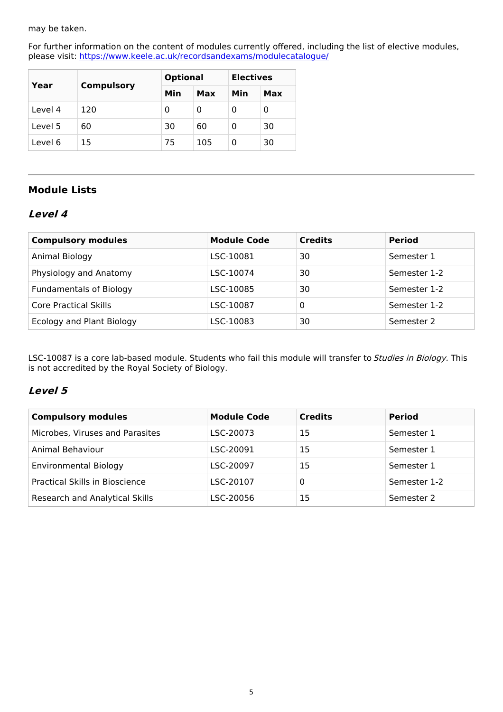#### may be taken.

For further information on the content of modules currently offered, including the list of elective modules, please visit: <https://www.keele.ac.uk/recordsandexams/modulecatalogue/>

| Year    | <b>Compulsory</b> |     | <b>Optional</b> |          | <b>Electives</b> |  |
|---------|-------------------|-----|-----------------|----------|------------------|--|
|         |                   | Min | Max             | Min      | Max              |  |
| Level 4 | 120               | 0   | 0               | 0        | 0                |  |
| Level 5 | 60                | 30  | 60              | 0        | 30               |  |
| Level 6 | 15                | 75  | 105             | $\Omega$ | 30               |  |

### **Module Lists**

### **Level 4**

| <b>Compulsory modules</b>      | <b>Module Code</b> | <b>Credits</b> | <b>Period</b> |
|--------------------------------|--------------------|----------------|---------------|
| Animal Biology                 | LSC-10081          | 30             | Semester 1    |
| Physiology and Anatomy         | LSC-10074          | 30             | Semester 1-2  |
| <b>Fundamentals of Biology</b> | LSC-10085          | 30             | Semester 1-2  |
| Core Practical Skills          | LSC-10087          | 0              | Semester 1-2  |
| Ecology and Plant Biology      | LSC-10083          | 30             | Semester 2    |

LSC-10087 is a core lab-based module. Students who fail this module will transfer to *Studies in Biology.* This is not accredited by the Royal Society of Biology.

### **Level 5**

| <b>Compulsory modules</b>       | <b>Module Code</b> | <b>Credits</b> | <b>Period</b> |
|---------------------------------|--------------------|----------------|---------------|
| Microbes, Viruses and Parasites | LSC-20073          | 15             | Semester 1    |
| Animal Behaviour                | LSC-20091          | 15             | Semester 1    |
| <b>Environmental Biology</b>    | LSC-20097          | 15             | Semester 1    |
| Practical Skills in Bioscience  | LSC-20107          | 0              | Semester 1-2  |
| Research and Analytical Skills  | LSC-20056          | 15             | Semester 2    |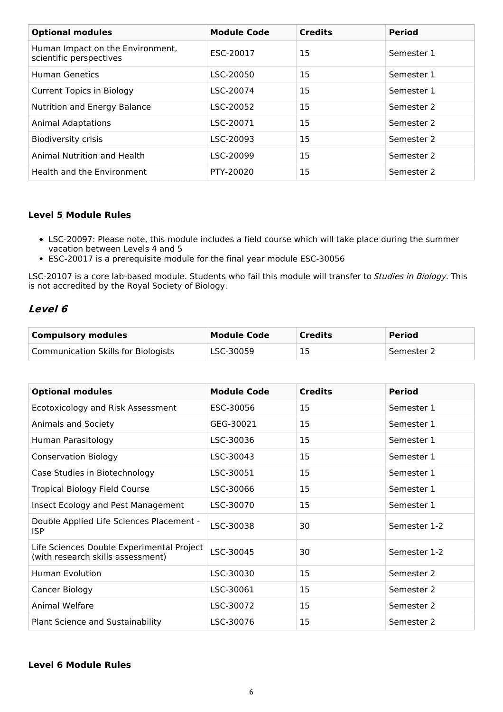| <b>Optional modules</b>                                     | <b>Module Code</b> | <b>Credits</b> | <b>Period</b> |
|-------------------------------------------------------------|--------------------|----------------|---------------|
| Human Impact on the Environment,<br>scientific perspectives | ESC-20017          | 15             | Semester 1    |
| Human Genetics                                              | LSC-20050          | 15             | Semester 1    |
| <b>Current Topics in Biology</b>                            | LSC-20074          | 15             | Semester 1    |
| Nutrition and Energy Balance                                | LSC-20052          | 15             | Semester 2    |
| <b>Animal Adaptations</b>                                   | LSC-20071          | 15             | Semester 2    |
| <b>Biodiversity crisis</b>                                  | LSC-20093          | 15             | Semester 2    |
| Animal Nutrition and Health                                 | LSC-20099          | 15             | Semester 2    |
| Health and the Environment                                  | PTY-20020          | 15             | Semester 2    |

#### **Level 5 Module Rules**

- LSC-20097: Please note, this module includes a field course which will take place during the summer vacation between Levels 4 and 5
- ESC-20017 is a prerequisite module for the final year module ESC-30056

LSC-20107 is a core lab-based module. Students who fail this module will transfer to Studies in Biology. This is not accredited by the Royal Society of Biology.

### **Level 6**

| <b>Compulsory modules</b>                  | <b>Module Code</b> | <b>Credits</b> | <b>Period</b> |
|--------------------------------------------|--------------------|----------------|---------------|
| <b>Communication Skills for Biologists</b> | LSC-30059          | 15             | Semester 2    |

| <b>Optional modules</b>                                                        | <b>Module Code</b> | <b>Credits</b> | <b>Period</b> |
|--------------------------------------------------------------------------------|--------------------|----------------|---------------|
| Ecotoxicology and Risk Assessment                                              | ESC-30056          | 15             | Semester 1    |
| Animals and Society                                                            | GEG-30021          | 15             | Semester 1    |
| Human Parasitology                                                             | LSC-30036          | 15             | Semester 1    |
| <b>Conservation Biology</b>                                                    | LSC-30043          | 15             | Semester 1    |
| Case Studies in Biotechnology                                                  | LSC-30051          | 15             | Semester 1    |
| <b>Tropical Biology Field Course</b>                                           | LSC-30066          | 15             | Semester 1    |
| Insect Ecology and Pest Management                                             | LSC-30070          | 15             | Semester 1    |
| Double Applied Life Sciences Placement -<br><b>ISP</b>                         | LSC-30038          | 30             | Semester 1-2  |
| Life Sciences Double Experimental Project<br>(with research skills assessment) | LSC-30045          | 30             | Semester 1-2  |
| <b>Human Evolution</b>                                                         | LSC-30030          | 15             | Semester 2    |
| Cancer Biology                                                                 | LSC-30061          | 15             | Semester 2    |
| Animal Welfare                                                                 | LSC-30072          | 15             | Semester 2    |
| Plant Science and Sustainability                                               | LSC-30076          | 15             | Semester 2    |

#### **Level 6 Module Rules**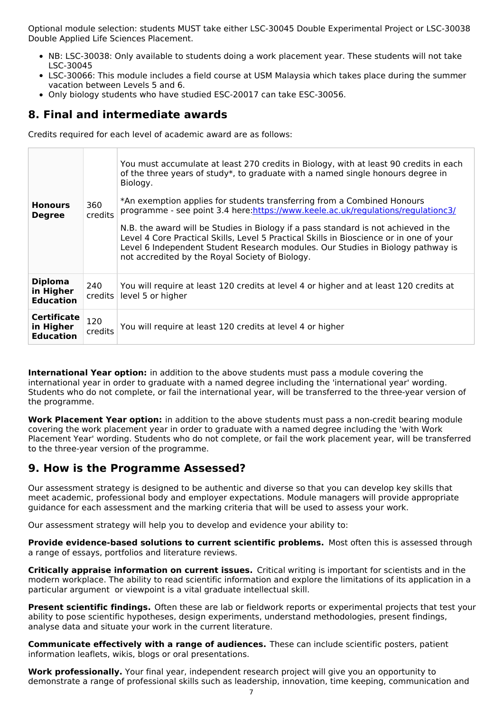Optional module selection: students MUST take either LSC-30045 Double Experimental Project or LSC-30038 Double Applied Life Sciences Placement.

- NB: LSC-30038: Only available to students doing a work placement year. These students will not take LSC-30045
- LSC-30066: This module includes a field course at USM Malaysia which takes place during the summer vacation between Levels 5 and 6.
- Only biology students who have studied ESC-20017 can take ESC-30056.

## **8. Final and intermediate awards**

Credits required for each level of academic award are as follows:

| <b>Honours</b><br><b>Degree</b>                     | 360<br>credits | You must accumulate at least 270 credits in Biology, with at least 90 credits in each<br>of the three years of study*, to graduate with a named single honours degree in<br>Biology.<br>*An exemption applies for students transferring from a Combined Honours<br>programme - see point 3.4 here:https://www.keele.ac.uk/regulations/regulationc3/<br>N.B. the award will be Studies in Biology if a pass standard is not achieved in the<br>Level 4 Core Practical Skills, Level 5 Practical Skills in Bioscience or in one of your<br>Level 6 Independent Student Research modules. Our Studies in Biology pathway is<br>not accredited by the Royal Society of Biology. |
|-----------------------------------------------------|----------------|-----------------------------------------------------------------------------------------------------------------------------------------------------------------------------------------------------------------------------------------------------------------------------------------------------------------------------------------------------------------------------------------------------------------------------------------------------------------------------------------------------------------------------------------------------------------------------------------------------------------------------------------------------------------------------|
| <b>Diploma</b><br>in Higher<br><b>Education</b>     | 240<br>credits | You will require at least 120 credits at level 4 or higher and at least 120 credits at<br>level 5 or higher                                                                                                                                                                                                                                                                                                                                                                                                                                                                                                                                                                 |
| <b>Certificate</b><br>in Higher<br><b>Education</b> | 120<br>credits | You will require at least 120 credits at level 4 or higher                                                                                                                                                                                                                                                                                                                                                                                                                                                                                                                                                                                                                  |

**International Year option:** in addition to the above students must pass a module covering the international year in order to graduate with a named degree including the 'international year' wording. Students who do not complete, or fail the international year, will be transferred to the three-year version of the programme.

**Work Placement Year option:** in addition to the above students must pass a non-credit bearing module covering the work placement year in order to graduate with a named degree including the 'with Work Placement Year' wording. Students who do not complete, or fail the work placement year, will be transferred to the three-year version of the programme.

# **9. How is the Programme Assessed?**

Our assessment strategy is designed to be authentic and diverse so that you can develop key skills that meet academic, professional body and employer expectations. Module managers will provide appropriate guidance for each assessment and the marking criteria that will be used to assess your work.

Our assessment strategy will help you to develop and evidence your ability to:

**Provide evidence-based solutions to current scientific problems.** Most often this is assessed through a range of essays, portfolios and literature reviews.

**Critically appraise information on current issues.** Critical writing is important for scientists and in the modern workplace. The ability to read scientific information and explore the limitations of its application in a particular argument or viewpoint is a vital graduate intellectual skill.

**Present scientific findings.** Often these are lab or fieldwork reports or experimental projects that test your ability to pose scientific hypotheses, design experiments, understand methodologies, present findings, analyse data and situate your work in the current literature.

**Communicate effectively with a range of audiences.** These can include scientific posters, patient information leaflets, wikis, blogs or oral presentations.

**Work professionally.** Your final year, independent research project will give you an opportunity to demonstrate a range of professional skills such as leadership, innovation, time keeping, communication and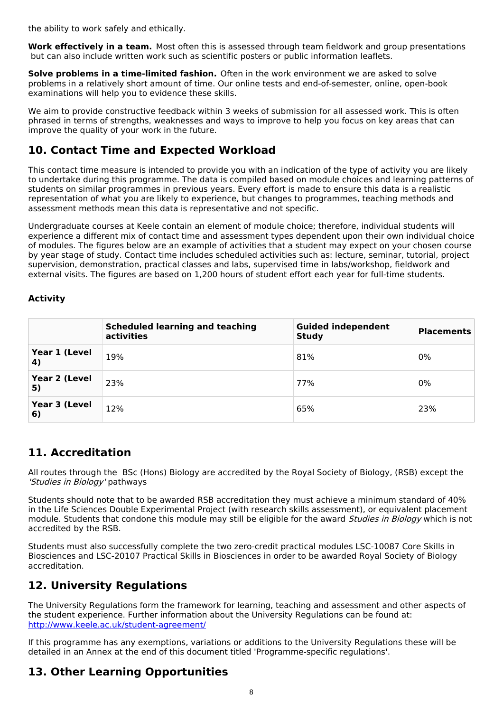the ability to work safely and ethically.

**Work effectively in a team.** Most often this is assessed through team fieldwork and group presentations but can also include written work such as scientific posters or public information leaflets.

**Solve problems in a time-limited fashion.** Often in the work environment we are asked to solve problems in a relatively short amount of time. Our online tests and end-of-semester, online, open-book examinations will help you to evidence these skills.

We aim to provide constructive feedback within 3 weeks of submission for all assessed work. This is often phrased in terms of strengths, weaknesses and ways to improve to help you focus on key areas that can improve the quality of your work in the future.

# **10. Contact Time and Expected Workload**

This contact time measure is intended to provide you with an indication of the type of activity you are likely to undertake during this programme. The data is compiled based on module choices and learning patterns of students on similar programmes in previous years. Every effort is made to ensure this data is a realistic representation of what you are likely to experience, but changes to programmes, teaching methods and assessment methods mean this data is representative and not specific.

Undergraduate courses at Keele contain an element of module choice; therefore, individual students will experience a different mix of contact time and assessment types dependent upon their own individual choice of modules. The figures below are an example of activities that a student may expect on your chosen course by year stage of study. Contact time includes scheduled activities such as: lecture, seminar, tutorial, project supervision, demonstration, practical classes and labs, supervised time in labs/workshop, fieldwork and external visits. The figures are based on 1,200 hours of student effort each year for full-time students.

### **Activity**

|                            | <b>Scheduled learning and teaching</b><br>activities | <b>Guided independent</b><br><b>Study</b> | <b>Placements</b> |
|----------------------------|------------------------------------------------------|-------------------------------------------|-------------------|
| Year 1 (Level<br>4)        | 19%                                                  | 81%                                       | 0%                |
| <b>Year 2 (Level</b><br>5) | 23%                                                  | 77%                                       | 0%                |
| Year 3 (Level<br>6)        | 12%                                                  | 65%                                       | 23%               |

# **11. Accreditation**

All routes through the BSc (Hons) Biology are accredited by the Royal Society of Biology, (RSB) except the 'Studies in Biology' pathways

Students should note that to be awarded RSB accreditation they must achieve a minimum standard of 40% in the Life Sciences Double Experimental Project (with research skills assessment), or equivalent placement module. Students that condone this module may still be eligible for the award Studies in Biology which is not accredited by the RSB.

Students must also successfully complete the two zero-credit practical modules LSC-10087 Core Skills in Biosciences and LSC-20107 Practical Skills in Biosciences in order to be awarded Royal Society of Biology accreditation.

# **12. University Regulations**

The University Regulations form the framework for learning, teaching and assessment and other aspects of the student experience. Further information about the University Regulations can be found at: <http://www.keele.ac.uk/student-agreement/>

If this programme has any exemptions, variations or additions to the University Regulations these will be detailed in an Annex at the end of this document titled 'Programme-specific regulations'.

# **13. Other Learning Opportunities**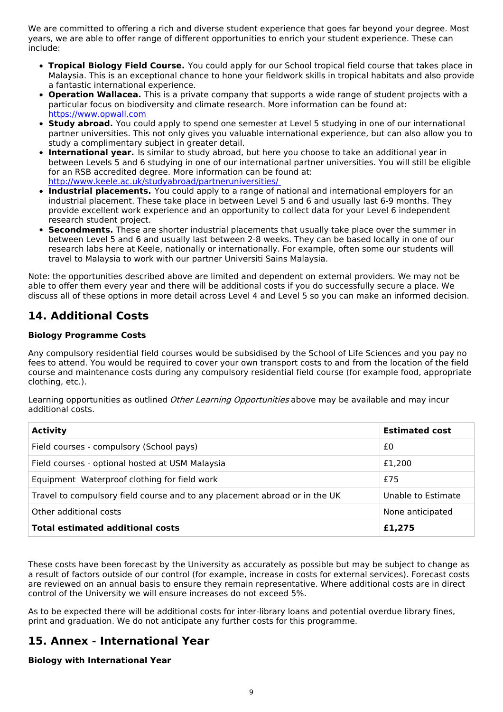We are committed to offering a rich and diverse student experience that goes far beyond your degree. Most years, we are able to offer range of different opportunities to enrich your student experience. These can include:

- **Tropical Biology Field Course.** You could apply for our School tropical field course that takes place in Malaysia. This is an exceptional chance to hone your fieldwork skills in tropical habitats and also provide a fantastic international experience.
- **Operation Wallacea.** This is a private company that supports a wide range of student projects with a particular focus on biodiversity and climate research. More information can be found at: [https://www.opwall.com](https://scims-api.keele.ac.uk/)
- **Study abroad.** You could apply to spend one semester at Level 5 studying in one of our international partner universities. This not only gives you valuable international experience, but can also allow you to study a complimentary subject in greater detail.
- **International year.** Is similar to study abroad, but here you choose to take an additional year in between Levels 5 and 6 studying in one of our international partner universities. You will still be eligible for an RSB accredited degree. More information can be found at: [http://www.keele.ac.uk/studyabroad/partneruniversities/](http://www.keele.ac.uk/studyabroad/partneruniversities/%20)
- **Industrial placements.** You could apply to a range of national and international employers for an industrial placement. These take place in between Level 5 and 6 and usually last 6-9 months. They provide excellent work experience and an opportunity to collect data for your Level 6 independent research student project.
- **Secondments.** These are shorter industrial placements that usually take place over the summer in between Level 5 and 6 and usually last between 2-8 weeks. They can be based locally in one of our research labs here at Keele, nationally or internationally. For example, often some our students will travel to Malaysia to work with our partner Universiti Sains Malaysia.

Note: the opportunities described above are limited and dependent on external providers. We may not be able to offer them every year and there will be additional costs if you do successfully secure a place. We discuss all of these options in more detail across Level 4 and Level 5 so you can make an informed decision.

# **14. Additional Costs**

### **Biology Programme Costs**

Any compulsory residential field courses would be subsidised by the School of Life Sciences and you pay no fees to attend. You would be required to cover your own transport costs to and from the location of the field course and maintenance costs during any compulsory residential field course (for example food, appropriate clothing, etc.).

Learning opportunities as outlined Other Learning Opportunities above may be available and may incur additional costs.

| <b>Activity</b>                                                            | <b>Estimated cost</b> |
|----------------------------------------------------------------------------|-----------------------|
| Field courses - compulsory (School pays)                                   | £0                    |
| Field courses - optional hosted at USM Malaysia                            | £1,200                |
| Equipment Waterproof clothing for field work                               | £75                   |
| Travel to compulsory field course and to any placement abroad or in the UK | Unable to Estimate    |
| Other additional costs                                                     | None anticipated      |
| <b>Total estimated additional costs</b>                                    | £1,275                |

These costs have been forecast by the University as accurately as possible but may be subject to change as a result of factors outside of our control (for example, increase in costs for external services). Forecast costs are reviewed on an annual basis to ensure they remain representative. Where additional costs are in direct control of the University we will ensure increases do not exceed 5%.

As to be expected there will be additional costs for inter-library loans and potential overdue library fines, print and graduation. We do not anticipate any further costs for this programme.

# **15. Annex - International Year**

### **Biology with International Year**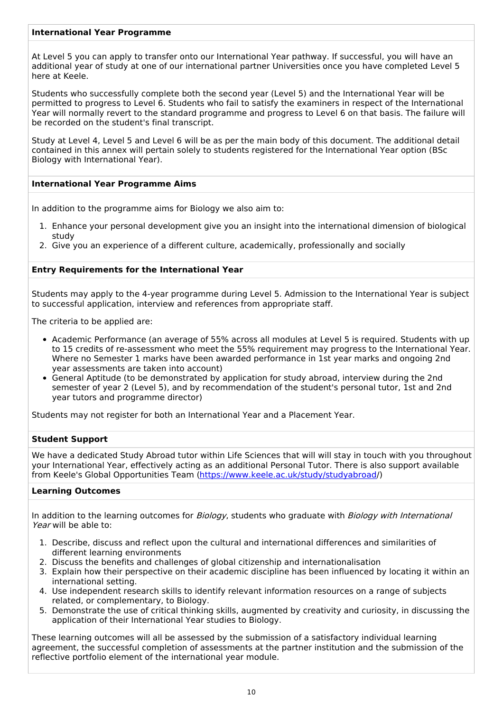#### **International Year Programme**

At Level 5 you can apply to transfer onto our International Year pathway. If successful, you will have an additional year of study at one of our international partner Universities once you have completed Level 5 here at Keele.

Students who successfully complete both the second year (Level 5) and the International Year will be permitted to progress to Level 6. Students who fail to satisfy the examiners in respect of the International Year will normally revert to the standard programme and progress to Level 6 on that basis. The failure will be recorded on the student's final transcript.

Study at Level 4, Level 5 and Level 6 will be as per the main body of this document. The additional detail contained in this annex will pertain solely to students registered for the International Year option (BSc Biology with International Year).

#### **International Year Programme Aims**

In addition to the programme aims for Biology we also aim to:

- 1. Enhance your personal development give you an insight into the international dimension of biological study
- 2. Give you an experience of a different culture, academically, professionally and socially

#### **Entry Requirements for the International Year**

Students may apply to the 4-year programme during Level 5. Admission to the International Year is subject to successful application, interview and references from appropriate staff.

The criteria to be applied are:

- Academic Performance (an average of 55% across all modules at Level 5 is required. Students with up to 15 credits of re-assessment who meet the 55% requirement may progress to the International Year. Where no Semester 1 marks have been awarded performance in 1st year marks and ongoing 2nd year assessments are taken into account)
- General Aptitude (to be demonstrated by application for study abroad, interview during the 2nd semester of year 2 (Level 5), and by recommendation of the student's personal tutor, 1st and 2nd year tutors and programme director)

Students may not register for both an International Year and a Placement Year.

#### **Student Support**

We have a dedicated Study Abroad tutor within Life Sciences that will will stay in touch with you throughout your International Year, effectively acting as an additional Personal Tutor. There is also support available from Keele's Global Opportunities Team [\(https://www.keele.ac.uk/study/studyabroad](https://www.keele.ac.uk/study/studyabroad)/)

#### **Learning Outcomes**

In addition to the learning outcomes for *Biology*, students who graduate with *Biology with International* Year will be able to:

- 1. Describe, discuss and reflect upon the cultural and international differences and similarities of different learning environments
- 2. Discuss the benefits and challenges of global citizenship and internationalisation
- 3. Explain how their perspective on their academic discipline has been influenced by locating it within an international setting.
- 4. Use independent research skills to identify relevant information resources on a range of subjects related, or complementary, to Biology.
- 5. Demonstrate the use of critical thinking skills, augmented by creativity and curiosity, in discussing the application of their International Year studies to Biology.

These learning outcomes will all be assessed by the submission of a satisfactory individual learning agreement, the successful completion of assessments at the partner institution and the submission of the reflective portfolio element of the international year module.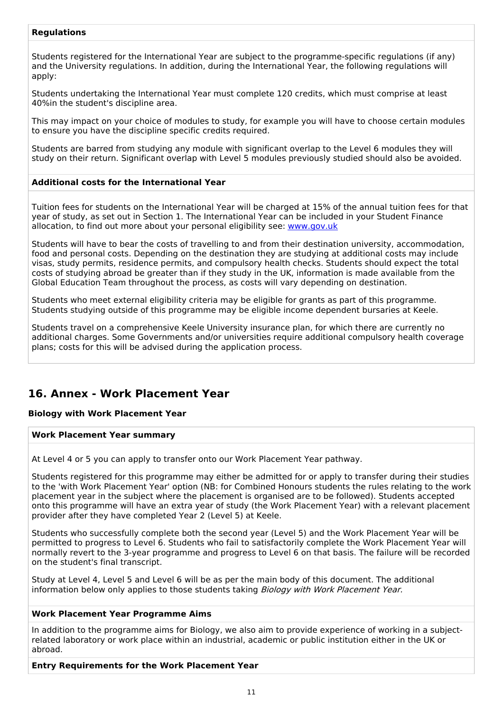#### **Regulations**

Students registered for the International Year are subject to the programme-specific regulations (if any) and the University regulations. In addition, during the International Year, the following regulations will apply:

Students undertaking the International Year must complete 120 credits, which must comprise at least 40%in the student's discipline area.

This may impact on your choice of modules to study, for example you will have to choose certain modules to ensure you have the discipline specific credits required.

Students are barred from studying any module with significant overlap to the Level 6 modules they will study on their return. Significant overlap with Level 5 modules previously studied should also be avoided.

#### **Additional costs for the International Year**

Tuition fees for students on the International Year will be charged at 15% of the annual tuition fees for that year of study, as set out in Section 1. The International Year can be included in your Student Finance allocation, to find out more about your personal eligibility see: [www.gov.uk](http://www.gov.uk/)

Students will have to bear the costs of travelling to and from their destination university, accommodation, food and personal costs. Depending on the destination they are studying at additional costs may include visas, study permits, residence permits, and compulsory health checks. Students should expect the total costs of studying abroad be greater than if they study in the UK, information is made available from the Global Education Team throughout the process, as costs will vary depending on destination.

Students who meet external eligibility criteria may be eligible for grants as part of this programme. Students studying outside of this programme may be eligible income dependent bursaries at Keele.

Students travel on a comprehensive Keele University insurance plan, for which there are currently no additional charges. Some Governments and/or universities require additional compulsory health coverage plans; costs for this will be advised during the application process.

### **16. Annex - Work Placement Year**

#### **Biology with Work Placement Year**

#### **Work Placement Year summary**

At Level 4 or 5 you can apply to transfer onto our Work Placement Year pathway.

Students registered for this programme may either be admitted for or apply to transfer during their studies to the 'with Work Placement Year' option (NB: for Combined Honours students the rules relating to the work placement year in the subject where the placement is organised are to be followed). Students accepted onto this programme will have an extra year of study (the Work Placement Year) with a relevant placement provider after they have completed Year 2 (Level 5) at Keele.

Students who successfully complete both the second year (Level 5) and the Work Placement Year will be permitted to progress to Level 6. Students who fail to satisfactorily complete the Work Placement Year will normally revert to the 3-year programme and progress to Level 6 on that basis. The failure will be recorded on the student's final transcript.

Study at Level 4, Level 5 and Level 6 will be as per the main body of this document. The additional information below only applies to those students taking Biology with Work Placement Year.

#### **Work Placement Year Programme Aims**

In addition to the programme aims for Biology, we also aim to provide experience of working in a subjectrelated laboratory or work place within an industrial, academic or public institution either in the UK or abroad.

**Entry Requirements for the Work Placement Year**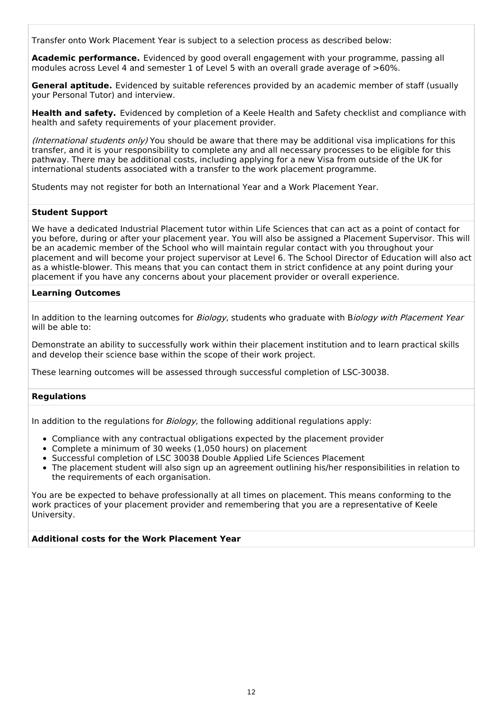Transfer onto Work Placement Year is subject to a selection process as described below:

**Academic performance.** Evidenced by good overall engagement with your programme, passing all modules across Level 4 and semester 1 of Level 5 with an overall grade average of >60%.

**General aptitude.** Evidenced by suitable references provided by an academic member of staff (usually your Personal Tutor) and interview.

**Health and safety.** Evidenced by completion of a Keele Health and Safety checklist and compliance with health and safety requirements of your placement provider.

(International students only) You should be aware that there may be additional visa implications for this transfer, and it is your responsibility to complete any and all necessary processes to be eligible for this pathway. There may be additional costs, including applying for a new Visa from outside of the UK for international students associated with a transfer to the work placement programme.

Students may not register for both an International Year and a Work Placement Year.

#### **Student Support**

We have a dedicated Industrial Placement tutor within Life Sciences that can act as a point of contact for you before, during or after your placement year. You will also be assigned a Placement Supervisor. This will be an academic member of the School who will maintain regular contact with you throughout your placement and will become your project supervisor at Level 6. The School Director of Education will also act as a whistle-blower. This means that you can contact them in strict confidence at any point during your placement if you have any concerns about your placement provider or overall experience.

#### **Learning Outcomes**

In addition to the learning outcomes for Biology, students who graduate with Biology with Placement Year will be able to:

Demonstrate an ability to successfully work within their placement institution and to learn practical skills and develop their science base within the scope of their work project.

These learning outcomes will be assessed through successful completion of LSC-30038.

#### **Regulations**

In addition to the regulations for  $Biology$ , the following additional regulations apply:

- Compliance with any contractual obligations expected by the placement provider
- Complete a minimum of 30 weeks (1,050 hours) on placement
- Successful completion of LSC 30038 Double Applied Life Sciences Placement
- The placement student will also sign up an agreement outlining his/her responsibilities in relation to the requirements of each organisation.

You are be expected to behave professionally at all times on placement. This means conforming to the work practices of your placement provider and remembering that you are a representative of Keele University.

#### **Additional costs for the Work Placement Year**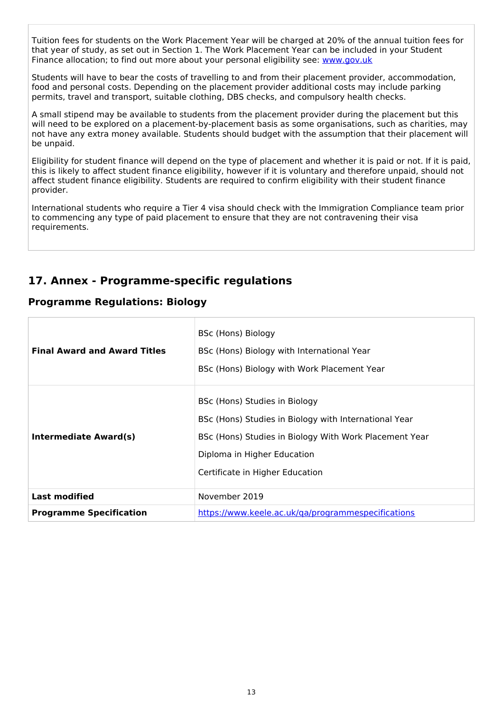Tuition fees for students on the Work Placement Year will be charged at 20% of the annual tuition fees for that year of study, as set out in Section 1. The Work Placement Year can be included in your Student Finance allocation; to find out more about your personal eligibility see: [www.gov.uk](http://www.gov.uk/)

Students will have to bear the costs of travelling to and from their placement provider, accommodation, food and personal costs. Depending on the placement provider additional costs may include parking permits, travel and transport, suitable clothing, DBS checks, and compulsory health checks.

A small stipend may be available to students from the placement provider during the placement but this will need to be explored on a placement-by-placement basis as some organisations, such as charities, may not have any extra money available. Students should budget with the assumption that their placement will be unpaid.

Eligibility for student finance will depend on the type of placement and whether it is paid or not. If it is paid, this is likely to affect student finance eligibility, however if it is voluntary and therefore unpaid, should not affect student finance eligibility. Students are required to confirm eligibility with their student finance provider.

International students who require a Tier 4 visa should check with the Immigration Compliance team prior to commencing any type of paid placement to ensure that they are not contravening their visa requirements.

# **17. Annex - Programme-specific regulations**

### **Programme Regulations: Biology**

| <b>Final Award and Award Titles</b> | BSc (Hons) Biology<br>BSc (Hons) Biology with International Year<br>BSc (Hons) Biology with Work Placement Year                                                                                                    |
|-------------------------------------|--------------------------------------------------------------------------------------------------------------------------------------------------------------------------------------------------------------------|
| Intermediate Award(s)               | BSc (Hons) Studies in Biology<br>BSc (Hons) Studies in Biology with International Year<br>BSc (Hons) Studies in Biology With Work Placement Year<br>Diploma in Higher Education<br>Certificate in Higher Education |
| <b>Last modified</b>                | November 2019                                                                                                                                                                                                      |
| <b>Programme Specification</b>      | https://www.keele.ac.uk/ga/programmespecifications                                                                                                                                                                 |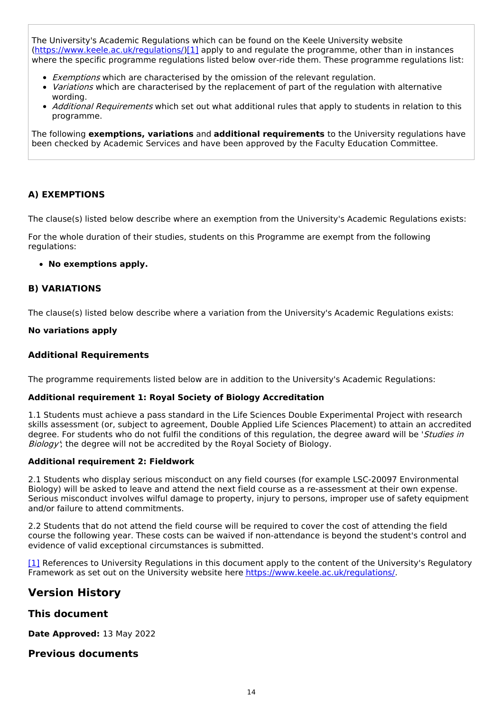The University's Academic Regulations which can be found on the Keele University website [\(https://www.keele.ac.uk/regulations/](https://www.keele.ac.uk/regulations/)[\)\[1\]](https://scims-api.keele.ac.uk/#_ftn1) apply to and regulate the programme, other than in instances where the specific programme regulations listed below over-ride them. These programme regulations list:

- Exemptions which are characterised by the omission of the relevant regulation.
- Variations which are characterised by the replacement of part of the regulation with alternative wording.
- Additional Requirements which set out what additional rules that apply to students in relation to this programme.

The following **exemptions, variations** and **additional requirements** to the University regulations have been checked by Academic Services and have been approved by the Faculty Education Committee.

#### **A) EXEMPTIONS**

The clause(s) listed below describe where an exemption from the University's Academic Regulations exists:

For the whole duration of their studies, students on this Programme are exempt from the following regulations:

#### **No exemptions apply.**

#### **B) VARIATIONS**

The clause(s) listed below describe where a variation from the University's Academic Regulations exists:

#### **No variations apply**

#### **Additional Requirements**

The programme requirements listed below are in addition to the University's Academic Regulations:

#### **Additional requirement 1: Royal Society of Biology Accreditation**

1.1 Students must achieve a pass standard in the Life Sciences Double Experimental Project with research skills assessment (or, subject to agreement, Double Applied Life Sciences Placement) to attain an accredited degree. For students who do not fulfil the conditions of this regulation, the degree award will be 'Studies in Biology'; the degree will not be accredited by the Royal Society of Biology.

#### **Additional requirement 2: Fieldwork**

2.1 Students who display serious misconduct on any field courses (for example LSC-20097 Environmental Biology) will be asked to leave and attend the next field course as a re-assessment at their own expense. Serious misconduct involves wilful damage to property, injury to persons, improper use of safety equipment and/or failure to attend commitments.

2.2 Students that do not attend the field course will be required to cover the cost of attending the field course the following year. These costs can be waived if non-attendance is beyond the student's control and evidence of valid exceptional circumstances is submitted.

[\[1\]](https://scims-api.keele.ac.uk/#_ftnref1) References to University Regulations in this document apply to the content of the University's Regulatory Framework as set out on the University website here <https://www.keele.ac.uk/regulations/>.

### **Version History**

### **This document**

**Date Approved:** 13 May 2022

### **Previous documents**